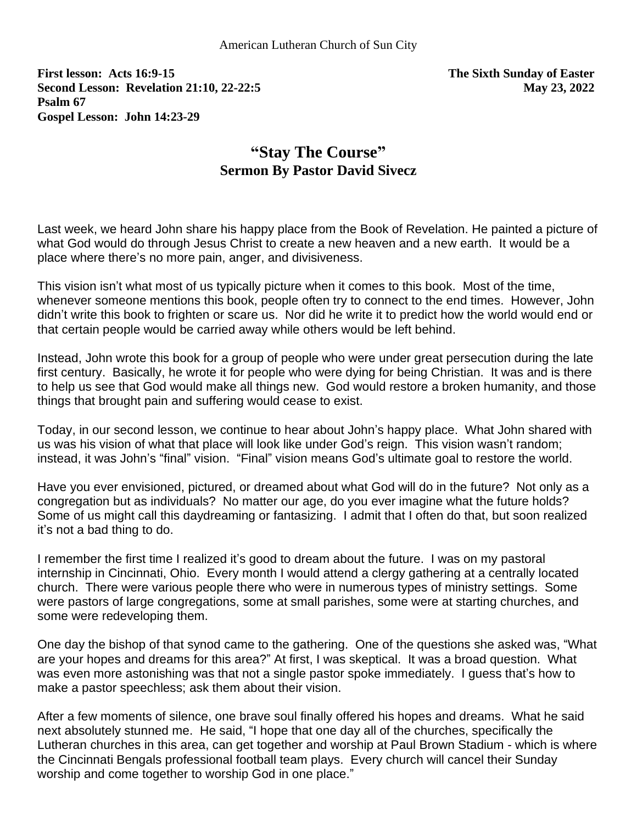**First lesson: Acts 16:9-15 The Sixth Sunday of Easter Second Lesson: Revelation 21:10, 22-22:5 May 23, 2022 Psalm 67 Gospel Lesson: John 14:23-29** 

## **"Stay The Course" Sermon By Pastor David Sivecz**

Last week, we heard John share his happy place from the Book of Revelation. He painted a picture of what God would do through Jesus Christ to create a new heaven and a new earth. It would be a place where there's no more pain, anger, and divisiveness.

This vision isn't what most of us typically picture when it comes to this book. Most of the time, whenever someone mentions this book, people often try to connect to the end times. However, John didn't write this book to frighten or scare us. Nor did he write it to predict how the world would end or that certain people would be carried away while others would be left behind.

Instead, John wrote this book for a group of people who were under great persecution during the late first century. Basically, he wrote it for people who were dying for being Christian. It was and is there to help us see that God would make all things new. God would restore a broken humanity, and those things that brought pain and suffering would cease to exist.

Today, in our second lesson, we continue to hear about John's happy place. What John shared with us was his vision of what that place will look like under God's reign. This vision wasn't random; instead, it was John's "final" vision. "Final" vision means God's ultimate goal to restore the world.

Have you ever envisioned, pictured, or dreamed about what God will do in the future? Not only as a congregation but as individuals? No matter our age, do you ever imagine what the future holds? Some of us might call this daydreaming or fantasizing. I admit that I often do that, but soon realized it's not a bad thing to do.

I remember the first time I realized it's good to dream about the future. I was on my pastoral internship in Cincinnati, Ohio. Every month I would attend a clergy gathering at a centrally located church. There were various people there who were in numerous types of ministry settings. Some were pastors of large congregations, some at small parishes, some were at starting churches, and some were redeveloping them.

One day the bishop of that synod came to the gathering. One of the questions she asked was, "What are your hopes and dreams for this area?" At first, I was skeptical. It was a broad question. What was even more astonishing was that not a single pastor spoke immediately. I guess that's how to make a pastor speechless; ask them about their vision.

After a few moments of silence, one brave soul finally offered his hopes and dreams. What he said next absolutely stunned me. He said, "I hope that one day all of the churches, specifically the Lutheran churches in this area, can get together and worship at Paul Brown Stadium - which is where the Cincinnati Bengals professional football team plays. Every church will cancel their Sunday worship and come together to worship God in one place."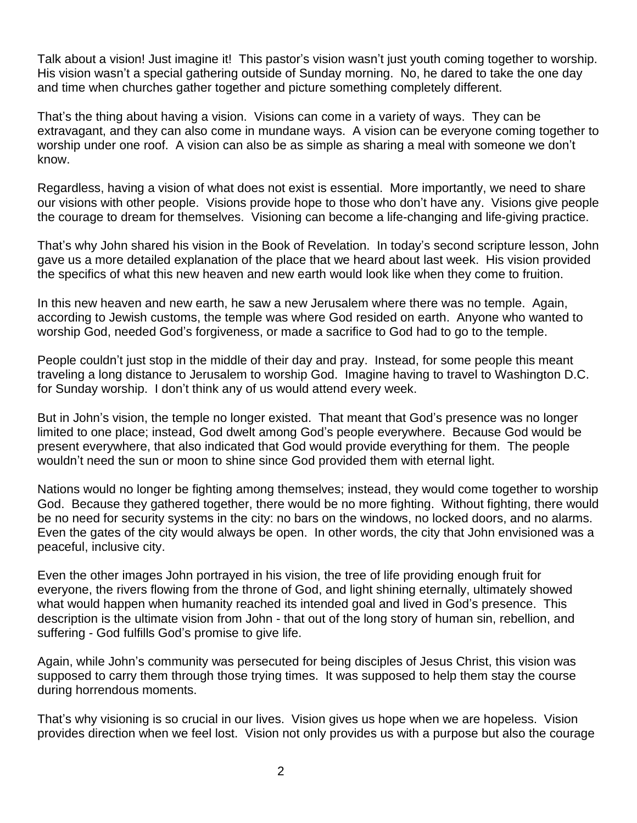Talk about a vision! Just imagine it! This pastor's vision wasn't just youth coming together to worship. His vision wasn't a special gathering outside of Sunday morning. No, he dared to take the one day and time when churches gather together and picture something completely different.

That's the thing about having a vision. Visions can come in a variety of ways. They can be extravagant, and they can also come in mundane ways. A vision can be everyone coming together to worship under one roof. A vision can also be as simple as sharing a meal with someone we don't know.

Regardless, having a vision of what does not exist is essential. More importantly, we need to share our visions with other people. Visions provide hope to those who don't have any. Visions give people the courage to dream for themselves. Visioning can become a life-changing and life-giving practice.

That's why John shared his vision in the Book of Revelation. In today's second scripture lesson, John gave us a more detailed explanation of the place that we heard about last week. His vision provided the specifics of what this new heaven and new earth would look like when they come to fruition.

In this new heaven and new earth, he saw a new Jerusalem where there was no temple. Again, according to Jewish customs, the temple was where God resided on earth. Anyone who wanted to worship God, needed God's forgiveness, or made a sacrifice to God had to go to the temple.

People couldn't just stop in the middle of their day and pray. Instead, for some people this meant traveling a long distance to Jerusalem to worship God. Imagine having to travel to Washington D.C. for Sunday worship. I don't think any of us would attend every week.

But in John's vision, the temple no longer existed. That meant that God's presence was no longer limited to one place; instead, God dwelt among God's people everywhere. Because God would be present everywhere, that also indicated that God would provide everything for them. The people wouldn't need the sun or moon to shine since God provided them with eternal light.

Nations would no longer be fighting among themselves; instead, they would come together to worship God. Because they gathered together, there would be no more fighting. Without fighting, there would be no need for security systems in the city: no bars on the windows, no locked doors, and no alarms. Even the gates of the city would always be open. In other words, the city that John envisioned was a peaceful, inclusive city.

Even the other images John portrayed in his vision, the tree of life providing enough fruit for everyone, the rivers flowing from the throne of God, and light shining eternally, ultimately showed what would happen when humanity reached its intended goal and lived in God's presence. This description is the ultimate vision from John - that out of the long story of human sin, rebellion, and suffering - God fulfills God's promise to give life.

Again, while John's community was persecuted for being disciples of Jesus Christ, this vision was supposed to carry them through those trying times. It was supposed to help them stay the course during horrendous moments.

That's why visioning is so crucial in our lives. Vision gives us hope when we are hopeless. Vision provides direction when we feel lost. Vision not only provides us with a purpose but also the courage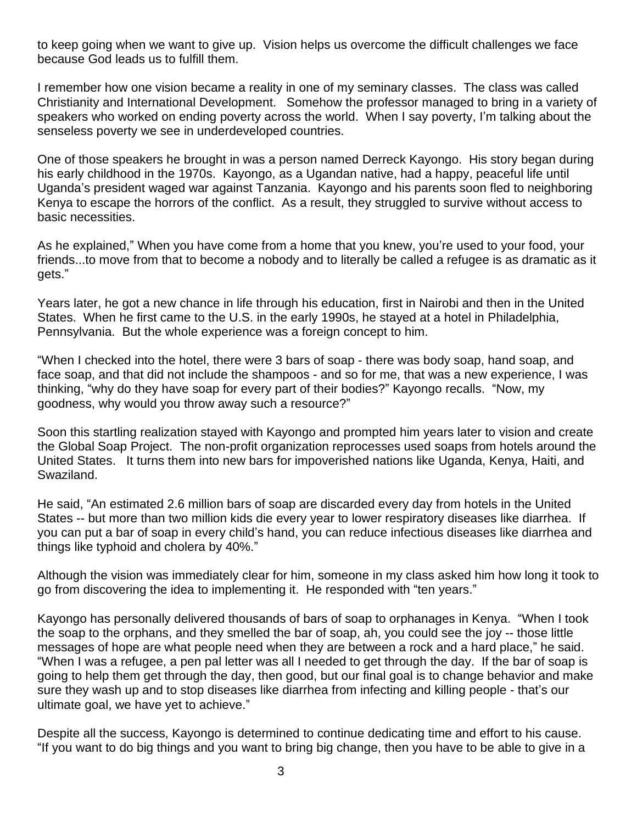to keep going when we want to give up. Vision helps us overcome the difficult challenges we face because God leads us to fulfill them.

I remember how one vision became a reality in one of my seminary classes. The class was called Christianity and International Development. Somehow the professor managed to bring in a variety of speakers who worked on ending poverty across the world. When I say poverty, I'm talking about the senseless poverty we see in underdeveloped countries.

One of those speakers he brought in was a person named Derreck Kayongo. His story began during his early childhood in the 1970s. Kayongo, as a Ugandan native, had a happy, peaceful life until Uganda's president waged war against Tanzania. Kayongo and his parents soon fled to neighboring Kenya to escape the horrors of the conflict. As a result, they struggled to survive without access to basic necessities.

As he explained," When you have come from a home that you knew, you're used to your food, your friends...to move from that to become a nobody and to literally be called a refugee is as dramatic as it gets."

Years later, he got a new chance in life through his education, first in Nairobi and then in the United States. When he first came to the U.S. in the early 1990s, he stayed at a hotel in Philadelphia, Pennsylvania. But the whole experience was a foreign concept to him.

"When I checked into the hotel, there were 3 bars of soap - there was body soap, hand soap, and face soap, and that did not include the shampoos - and so for me, that was a new experience, I was thinking, "why do they have soap for every part of their bodies?" Kayongo recalls. "Now, my goodness, why would you throw away such a resource?"

Soon this startling realization stayed with Kayongo and prompted him years later to vision and create the Global Soap Project. The non-profit organization reprocesses used soaps from hotels around the United States. It turns them into new bars for impoverished nations like Uganda, Kenya, Haiti, and Swaziland.

He said, "An estimated 2.6 million bars of soap are discarded every day from hotels in the United States -- but more than two million kids die every year to lower respiratory diseases like diarrhea. If you can put a bar of soap in every child's hand, you can reduce infectious diseases like diarrhea and things like typhoid and cholera by 40%."

Although the vision was immediately clear for him, someone in my class asked him how long it took to go from discovering the idea to implementing it. He responded with "ten years."

Kayongo has personally delivered thousands of bars of soap to orphanages in Kenya. "When I took the soap to the orphans, and they smelled the bar of soap, ah, you could see the joy -- those little messages of hope are what people need when they are between a rock and a hard place," he said. "When I was a refugee, a pen pal letter was all I needed to get through the day. If the bar of soap is going to help them get through the day, then good, but our final goal is to change behavior and make sure they wash up and to stop diseases like diarrhea from infecting and killing people - that's our ultimate goal, we have yet to achieve."

Despite all the success, Kayongo is determined to continue dedicating time and effort to his cause. "If you want to do big things and you want to bring big change, then you have to be able to give in a